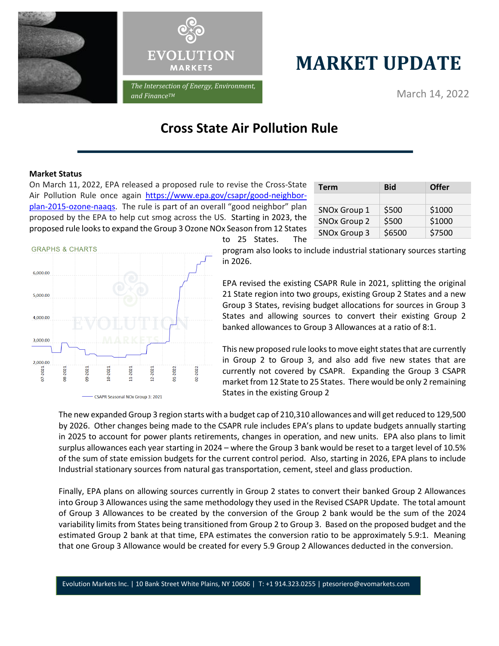



## **MARKET UPDATE**

March 14, 2022

## **Cross State Air Pollution Rule**

## **Market Status**

On March 11, 2022, EPA released a proposed rule to revise the Cross-State Air Pollution Rule once again [https://www.epa.gov/csapr/good-neighbor](https://www.epa.gov/csapr/good-neighbor-plan-2015-ozone-naaqs)[plan-2015-ozone-naaqs.](https://www.epa.gov/csapr/good-neighbor-plan-2015-ozone-naaqs) The rule is part of an overall "good neighbor" plan proposed by the EPA to help cut smog across the US. Starting in 2023, the proposed rule looks to expand the Group 3 Ozone NOx Season from 12 States

| <b>Term</b>              | <b>Bid</b> | Offer  |  |
|--------------------------|------------|--------|--|
|                          |            |        |  |
| SNO <sub>x</sub> Group 1 | \$500      | \$1000 |  |
| <b>SNOx Group 2</b>      | \$500      | \$1000 |  |
| <b>SNOx Group 3</b>      | \$6500     | \$7500 |  |



to 25 States. The

program also looks to include industrial stationary sources starting in 2026.

EPA revised the existing CSAPR Rule in 2021, splitting the original 21 State region into two groups, existing Group 2 States and a new Group 3 States, revising budget allocations for sources in Group 3 States and allowing sources to convert their existing Group 2 banked allowances to Group 3 Allowances at a ratio of 8:1.

This new proposed rule looks to move eight states that are currently in Group 2 to Group 3, and also add five new states that are currently not covered by CSAPR. Expanding the Group 3 CSAPR market from 12 State to 25 States. There would be only 2 remaining States in the existing Group 2

The new expanded Group 3 region starts with a budget cap of 210,310 allowances and will get reduced to 129,500 by 2026. Other changes being made to the CSAPR rule includes EPA's plans to update budgets annually starting in 2025 to account for power plants retirements, changes in operation, and new units. EPA also plans to limit surplus allowances each year starting in 2024 – where the Group 3 bank would be reset to a target level of 10.5% of the sum of state emission budgets for the current control period. Also, starting in 2026, EPA plans to include Industrial stationary sources from natural gas transportation, cement, steel and glass production.

Finally, EPA plans on allowing sources currently in Group 2 states to convert their banked Group 2 Allowances into Group 3 Allowances using the same methodology they used in the Revised CSAPR Update. The total amount of Group 3 Allowances to be created by the conversion of the Group 2 bank would be the sum of the 2024 variability limits from States being transitioned from Group 2 to Group 3. Based on the proposed budget and the estimated Group 2 bank at that time, EPA estimates the conversion ratio to be approximately 5.9:1. Meaning that one Group 3 Allowance would be created for every 5.9 Group 2 Allowances deducted in the conversion.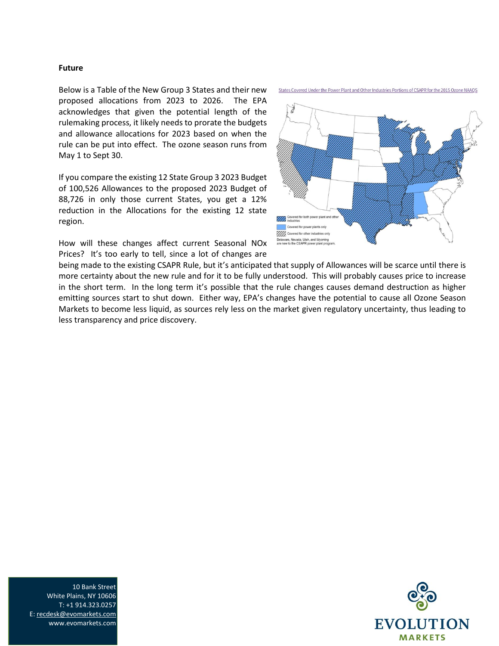## **Future**

Below is a Table of the New Group 3 States and their new proposed allocations from 2023 to 2026. The EPA acknowledges that given the potential length of the rulemaking process, it likely needs to prorate the budgets and allowance allocations for 2023 based on when the rule can be put into effect. The ozone season runs from May 1 to Sept 30.

If you compare the existing 12 State Group 3 2023 Budget of 100,526 Allowances to the proposed 2023 Budget of 88,726 in only those current States, you get a 12% reduction in the Allocations for the existing 12 state region.

How will these changes affect current Seasonal NOx Prices? It's too early to tell, since a lot of changes are

States Covered Under the Power Plant and Other Industries Portions of CSAPR for the 2015 Ozone NAAQS



being made to the existing CSAPR Rule, but it's anticipated that supply of Allowances will be scarce until there is more certainty about the new rule and for it to be fully understood. This will probably causes price to increase in the short term. In the long term it's possible that the rule changes causes demand destruction as higher emitting sources start to shut down. Either way, EPA's changes have the potential to cause all Ozone Season Markets to become less liquid, as sources rely less on the market given regulatory uncertainty, thus leading to less transparency and price discovery.



10 Bank Street White Plains, NY 10606 T: +1 914.323.0257 E[: recdesk@evomarkets.com](mailto:recdesk@evomarkets.com) www.evomarkets.com